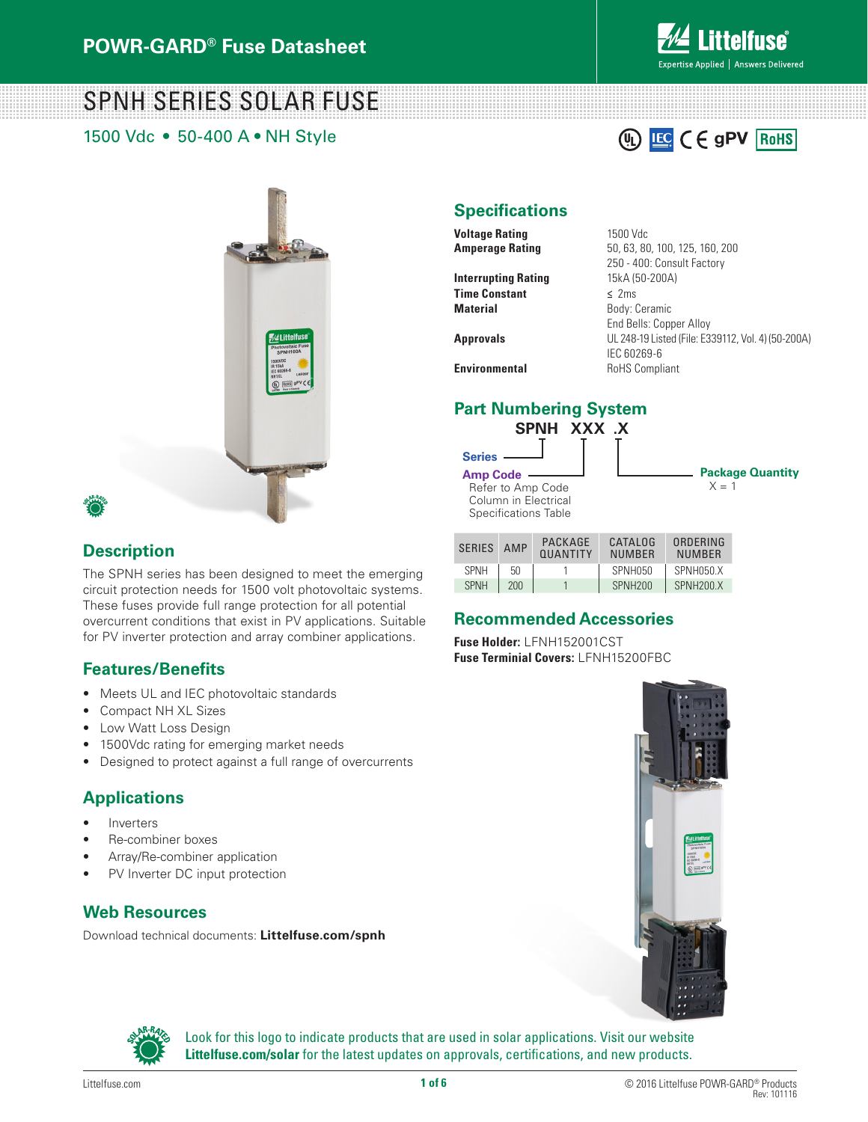

**IEC** CE gPV ROHS

# SPNH SERIES SOLAR FUSE

1500 Vdc • 50-400 A • NH Style



**Interrupting Rating** 15kA (50-200A) **Time Constant ≤** 2ms **Material** Body: Ceramic

**Amperage Rating** 50, 63, 80, 100, 125, 160, 200 250 - 400: Consult Factory End Bells: Copper Alloy **Approvals** UL 248-19 Listed (File: E339112, Vol. 4) (50-200A) IEC 60269-6 **Environmental** RoHS Compliant

## **Part Numbering System**



 $\mathbb{Q}$ 

| <b>SERIES</b> | AMP | PACKAGE<br><b>OUANTITY</b> | CATALOG<br><b>NUMBER</b> | ORDERING<br><b>NUMBER</b> |  |
|---------------|-----|----------------------------|--------------------------|---------------------------|--|
| <b>SPNH</b>   | 50  |                            | SPNH050                  | SPNH050.X                 |  |
| <b>SPNH</b>   | 200 |                            | SPNH <sub>200</sub>      | SPNH <sub>200</sub> X     |  |

### **Recommended Accessories**

**Fuse Holder:** LFNH152001CST **Fuse Terminial Covers:** LFNH15200FBC



Look for this logo to indicate products that are used in solar applications. Visit our website **Littelfuse.com/solar** for the latest updates on approvals, certifications, and new products.

#### **Description**

The SPNH series has been designed to meet the emerging circuit protection needs for 1500 volt photovoltaic systems. These fuses provide full range protection for all potential overcurrent conditions that exist in PV applications. Suitable for PV inverter protection and array combiner applications.

### **Features/Benefits**

- Meets UL and IEC photovoltaic standards
- Compact NH XL Sizes
- Low Watt Loss Design
- 1500Vdc rating for emerging market needs
- Designed to protect against a full range of overcurrents

### **Applications**

- **Inverters**
- Re-combiner boxes
- Array/Re-combiner application
- PV Inverter DC input protection

#### **Web Resources**

Download technical documents: **Littelfuse.com/spnh**

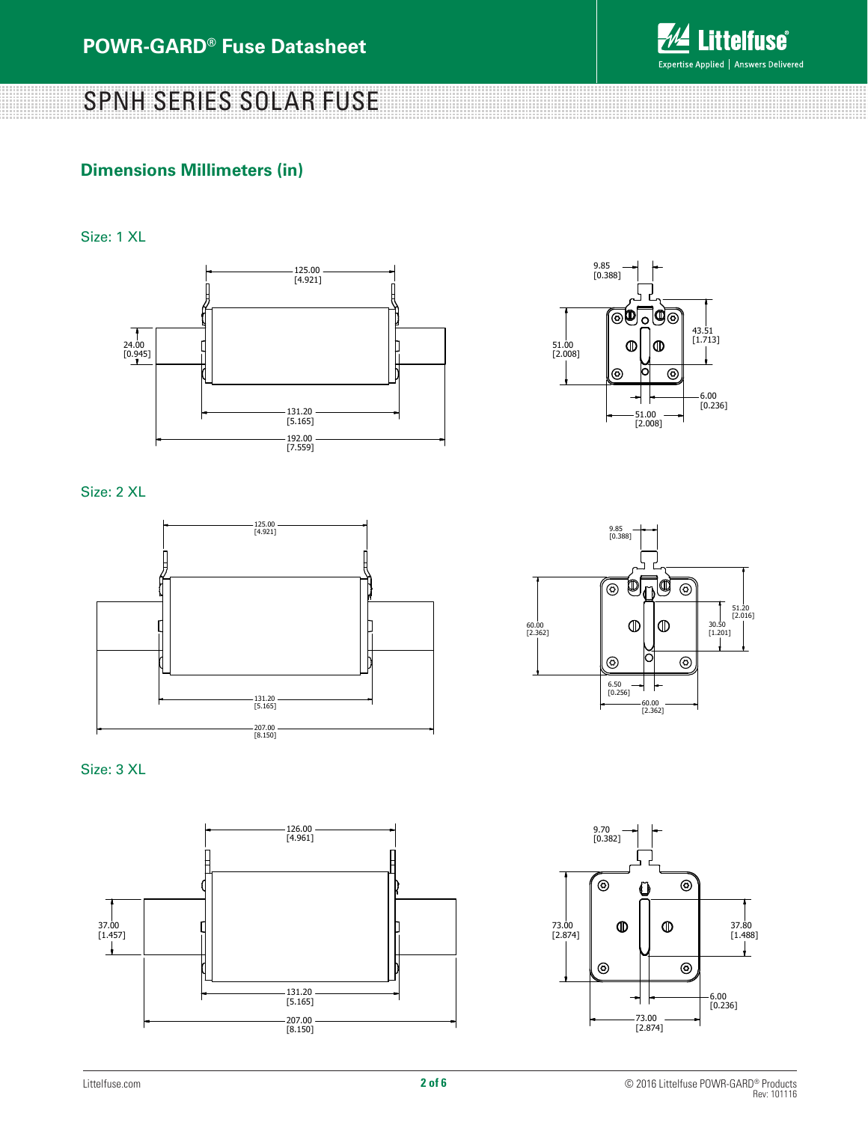

#### **Dimensions Millimeters (in)**

Size: 1 XL





Size: 2 XL









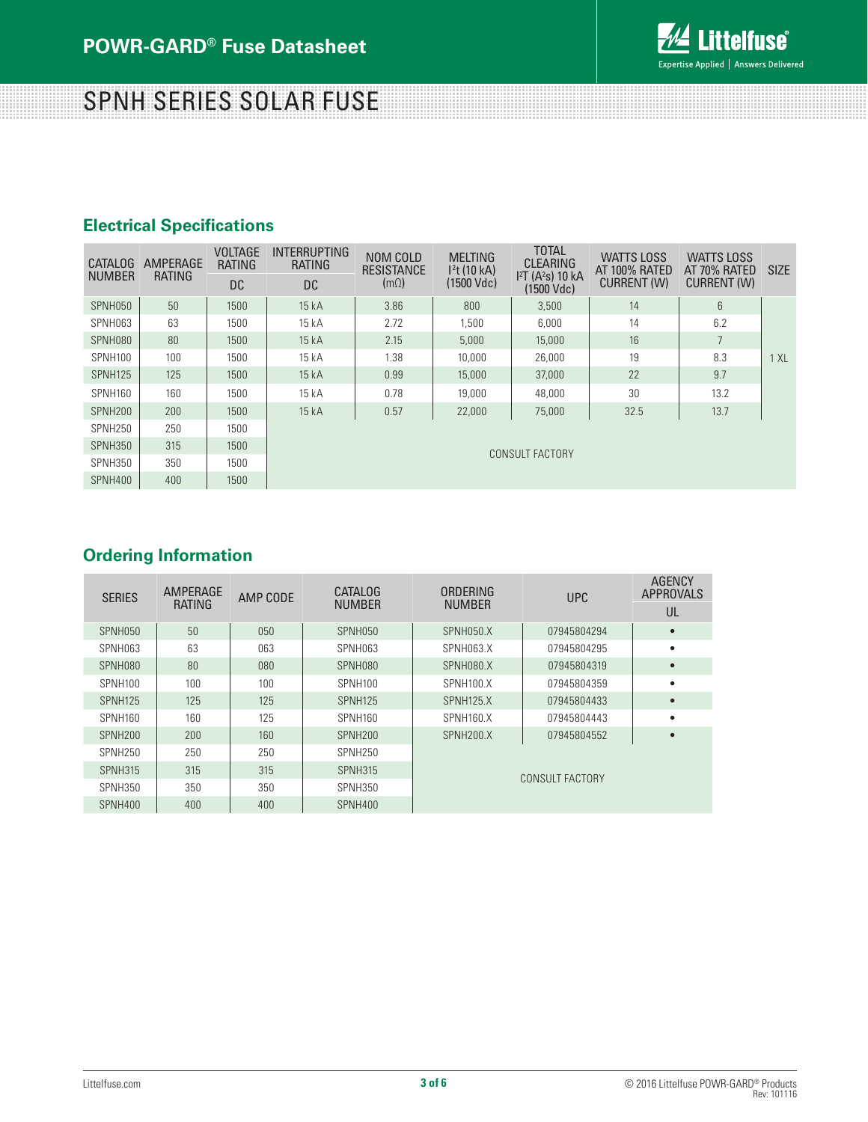

### **Electrical Specifications**

| <b>CATALOG</b><br><b>NUMBER</b> | AMPERAGE<br><b>RATING</b> | <b>VOLTAGE</b><br><b>RATING</b> | <b>INTERRUPTING</b><br>RATING | NOM COLD<br><b>RESISTANCE</b><br>(m <sub>Ω</sub> ) | <b>MELTING</b><br>1 <sup>2</sup> t(10 kA)<br>(1500 Vdc) | <b>TOTAL</b><br><b>CLEARING</b><br>I <sup>2</sup> T (A <sup>2</sup> s) 10 kA<br>$(1500$ Vdc) | <b>WATTS LOSS</b><br>AT 100% RATED<br><b>CURRENT (W)</b> | <b>WATTS LOSS</b><br>AT 70% RATED<br><b>CURRENT (W)</b> | <b>SIZE</b> |
|---------------------------------|---------------------------|---------------------------------|-------------------------------|----------------------------------------------------|---------------------------------------------------------|----------------------------------------------------------------------------------------------|----------------------------------------------------------|---------------------------------------------------------|-------------|
|                                 |                           | DC.                             | DC.                           |                                                    |                                                         |                                                                                              |                                                          |                                                         |             |
| SPNH050                         | 50                        | 1500                            | 15 kA                         | 3.86                                               | 800                                                     | 3,500                                                                                        | 14                                                       | 6                                                       |             |
| SPNH063                         | 63                        | 1500                            | 15 kA                         | 2.72                                               | 1.500                                                   | 6,000                                                                                        | 14                                                       | 6.2                                                     |             |
| SPNH080                         | 80                        | 1500                            | 15kA                          | 2.15                                               | 5,000                                                   | 15,000                                                                                       | 16                                                       |                                                         |             |
| SPNH100                         | 100                       | 1500                            | 15 kA                         | 1.38                                               | 10,000                                                  | 26,000                                                                                       | 19                                                       | 8.3                                                     | 1 XL        |
| <b>SPNH125</b>                  | 125                       | 1500                            | 15kA                          | 0.99                                               | 15,000                                                  | 37,000                                                                                       | 22                                                       | 9.7                                                     |             |
| SPNH160                         | 160                       | 1500                            | 15 kA                         | 0.78                                               | 19,000                                                  | 48,000                                                                                       | 30                                                       | 13.2                                                    |             |
| SPNH <sub>200</sub>             | 200                       | 1500                            | 15kA                          | 0.57                                               | 22,000                                                  | 75,000                                                                                       | 32.5                                                     | 13.7                                                    |             |
| SPNH250                         | 250                       | 1500                            | CONSULT FACTORY               |                                                    |                                                         |                                                                                              |                                                          |                                                         |             |
| SPNH350                         | 315                       | 1500                            |                               |                                                    |                                                         |                                                                                              |                                                          |                                                         |             |
| SPNH350                         | 350                       | 1500                            |                               |                                                    |                                                         |                                                                                              |                                                          |                                                         |             |
| SPNH400                         | 400                       | 1500                            |                               |                                                    |                                                         |                                                                                              |                                                          |                                                         |             |

#### **Ordering Information**

| <b>SERIES</b>       | AMPERAGE<br><b>RATING</b> | AMP CODE | <b>CATALOG</b><br><b>NUMBER</b> | ORDERING<br><b>NUMBER</b> | <b>UPC</b>  | <b>AGENCY</b><br><b>APPROVALS</b> |  |  |
|---------------------|---------------------------|----------|---------------------------------|---------------------------|-------------|-----------------------------------|--|--|
|                     |                           |          |                                 |                           |             | UL                                |  |  |
| SPNH050             | 50                        | 050      | SPNH050                         | SPNH050.X                 | 07945804294 | $\bullet$                         |  |  |
| SPNH063             | 63                        | 063      | SPNH063                         | SPNH063.X                 | 07945804295 | ٠                                 |  |  |
| SPNH080             | 80                        | 080      | SPNH080                         | SPNH080.X                 | 07945804319 | $\bullet$                         |  |  |
| SPNH100             | 100                       | 100      | SPNH <sub>100</sub>             | SPNH100.X                 | 07945804359 | ٠                                 |  |  |
| <b>SPNH125</b>      | 125                       | 125      | SPNH <sub>125</sub>             | SPNH125.X                 | 07945804433 | $\bullet$                         |  |  |
| SPNH160             | 160                       | 125      | SPNH160                         | SPNH160.X                 | 07945804443 | ٠                                 |  |  |
| SPNH <sub>200</sub> | 200                       | 160      | SPNH <sub>200</sub>             | SPNH200.X                 | 07945804552 | $\bullet$                         |  |  |
| SPNH <sub>250</sub> | 250                       | 250      | SPNH <sub>250</sub>             | CONSULT FACTORY           |             |                                   |  |  |
| <b>SPNH315</b>      | 315                       | 315      | SPNH315                         |                           |             |                                   |  |  |
| SPNH350             | 350                       | 350      | SPNH350                         |                           |             |                                   |  |  |
| SPNH400             | 400                       | 400      | SPNH400                         |                           |             |                                   |  |  |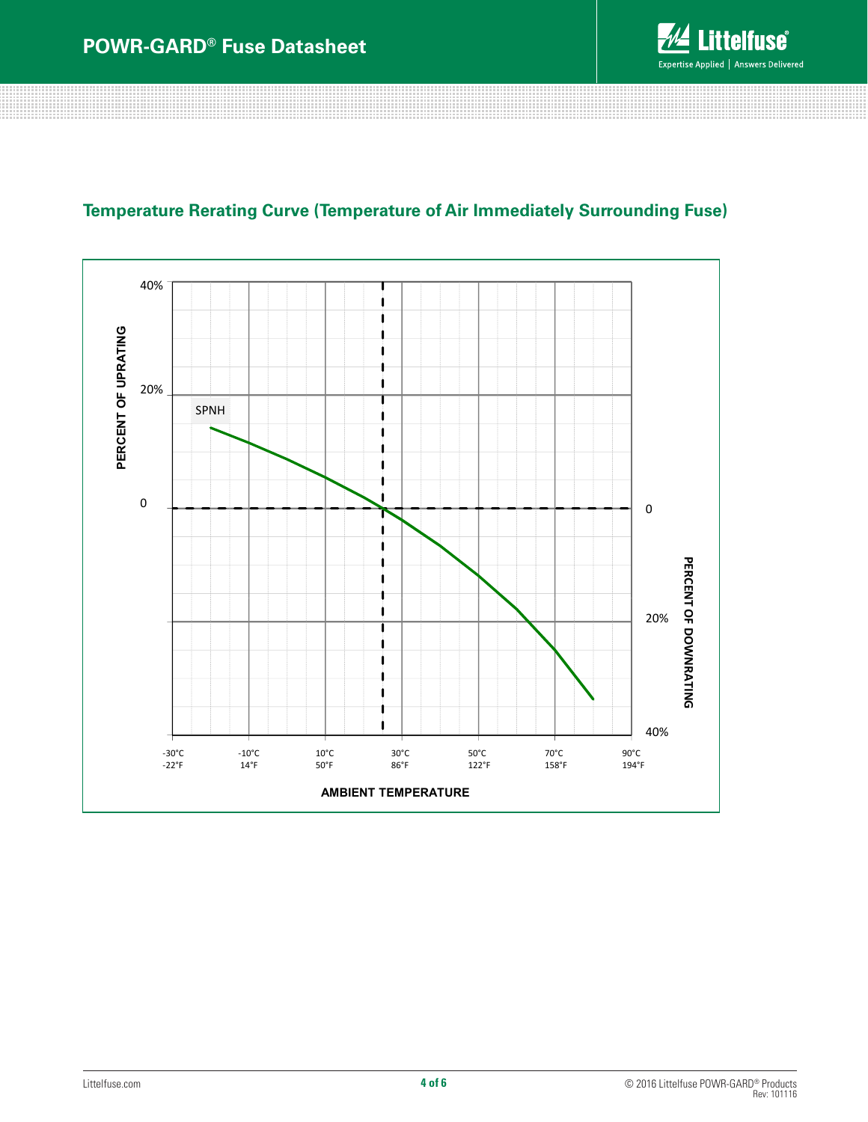

### **Temperature Rerating Curve (Temperature of Air Immediately Surrounding Fuse)**

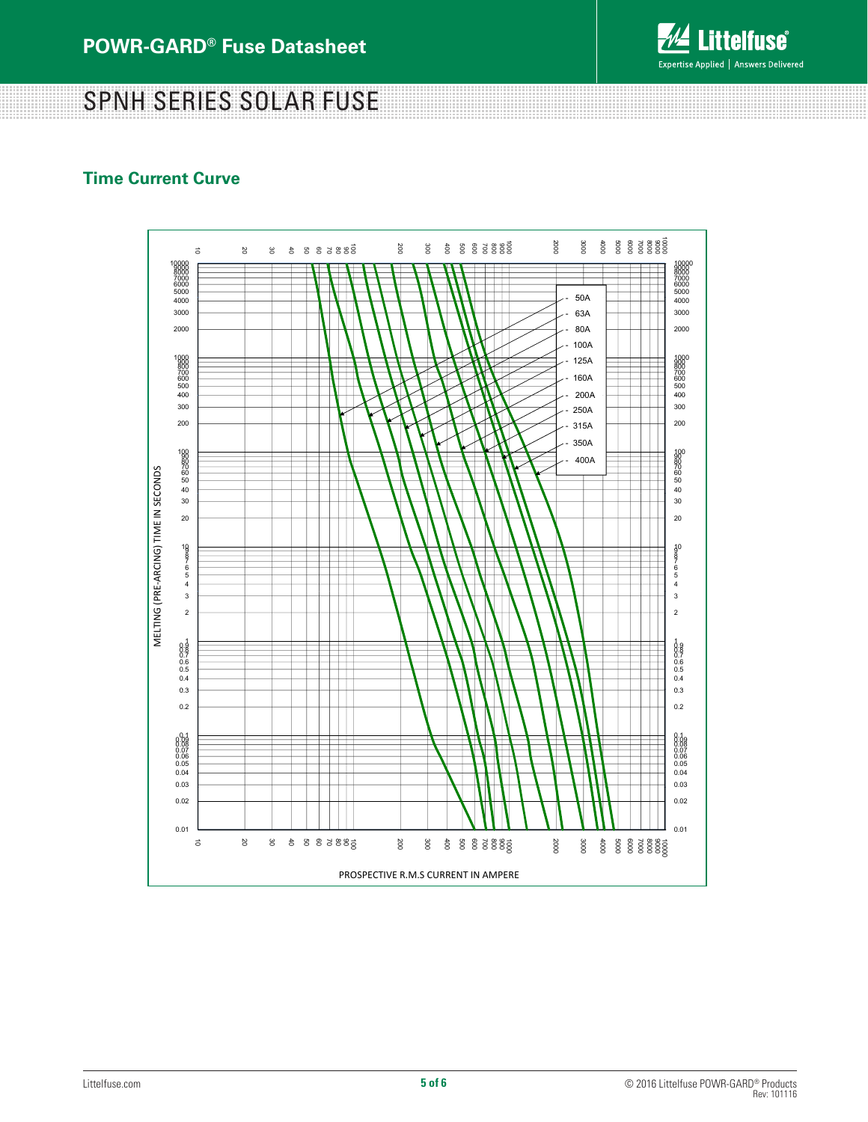

**Littelfuse**® Expertise Applied | Answers Delivered